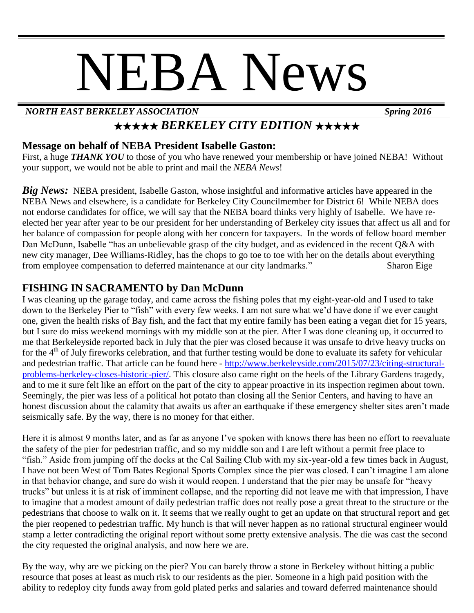# NEBA News

#### *NORTH EAST BERKELEY ASSOCIATION Spring 2016*

## ★★★★★ *BERKELEY CITY EDITION* ★★★★★

#### **Message on behalf of NEBA President Isabelle Gaston:**

First, a huge **THANK YOU** to those of you who have renewed your membership or have joined NEBA! Without your support, we would not be able to print and mail the *NEBA News*!

*Big News:* NEBA president, Isabelle Gaston, whose insightful and informative articles have appeared in the NEBA News and elsewhere, is a candidate for Berkeley City Councilmember for District 6! While NEBA does not endorse candidates for office, we will say that the NEBA board thinks very highly of Isabelle. We have reelected her year after year to be our president for her understanding of Berkeley city issues that affect us all and for her balance of compassion for people along with her concern for taxpayers. In the words of fellow board member Dan McDunn, Isabelle "has an unbelievable grasp of the city budget, and as evidenced in the recent Q&A with new city manager, Dee Williams-Ridley, has the chops to go toe to toe with her on the details about everything from employee compensation to deferred maintenance at our city landmarks." Sharon Eige

#### **FISHING IN SACRAMENTO by Dan McDunn**

I was cleaning up the garage today, and came across the fishing poles that my eight-year-old and I used to take down to the Berkeley Pier to "fish" with every few weeks. I am not sure what we'd have done if we ever caught one, given the health risks of Bay fish, and the fact that my entire family has been eating a vegan diet for 15 years, but I sure do miss weekend mornings with my middle son at the pier. After I was done cleaning up, it occurred to me that Berkeleyside reported back in July that the pier was closed because it was unsafe to drive heavy trucks on for the  $4<sup>th</sup>$  of July fireworks celebration, and that further testing would be done to evaluate its safety for vehicular and pedestrian traffic. That article can be found here - [http://www.berkeleyside.com/2015/07/23/citing-structural](http://www.berkeleyside.com/2015/07/23/citing-structural-problems-berkeley-closes-historic-pier/)[problems-berkeley-closes-historic-pier/.](http://www.berkeleyside.com/2015/07/23/citing-structural-problems-berkeley-closes-historic-pier/) This closure also came right on the heels of the Library Gardens tragedy, and to me it sure felt like an effort on the part of the city to appear proactive in its inspection regimen about town. Seemingly, the pier was less of a political hot potato than closing all the Senior Centers, and having to have an honest discussion about the calamity that awaits us after an earthquake if these emergency shelter sites aren't made seismically safe. By the way, there is no money for that either.

Here it is almost 9 months later, and as far as anyone I've spoken with knows there has been no effort to reevaluate the safety of the pier for pedestrian traffic, and so my middle son and I are left without a permit free place to "fish." Aside from jumping off the docks at the Cal Sailing Club with my six-year-old a few times back in August, I have not been West of Tom Bates Regional Sports Complex since the pier was closed. I can't imagine I am alone in that behavior change, and sure do wish it would reopen. I understand that the pier may be unsafe for "heavy trucks" but unless it is at risk of imminent collapse, and the reporting did not leave me with that impression, I have to imagine that a modest amount of daily pedestrian traffic does not really pose a great threat to the structure or the pedestrians that choose to walk on it. It seems that we really ought to get an update on that structural report and get the pier reopened to pedestrian traffic. My hunch is that will never happen as no rational structural engineer would stamp a letter contradicting the original report without some pretty extensive analysis. The die was cast the second the city requested the original analysis, and now here we are.

By the way, why are we picking on the pier? You can barely throw a stone in Berkeley without hitting a public resource that poses at least as much risk to our residents as the pier. Someone in a high paid position with the ability to redeploy city funds away from gold plated perks and salaries and toward deferred maintenance should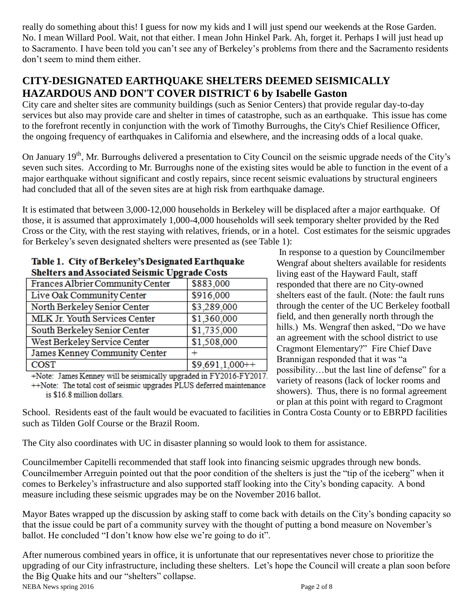really do something about this! I guess for now my kids and I will just spend our weekends at the Rose Garden. No. I mean Willard Pool. Wait, not that either. I mean John Hinkel Park. Ah, forget it. Perhaps I will just head up to Sacramento. I have been told you can't see any of Berkeley's problems from there and the Sacramento residents don't seem to mind them either.

#### **CITY-DESIGNATED EARTHQUAKE SHELTERS DEEMED SEISMICALLY HAZARDOUS AND DON'T COVER DISTRICT 6 by Isabelle Gaston**

City care and shelter sites are community buildings (such as Senior Centers) that provide regular day-to-day services but also may provide care and shelter in times of catastrophe, such as an earthquake. This issue has come to the forefront recently in conjunction with the work of Timothy Burroughs, the City's Chief Resilience Officer, the ongoing frequency of earthquakes in California and elsewhere, and the increasing odds of a local quake.

On January 19<sup>th</sup>, Mr. Burroughs delivered a presentation to City Council on the seismic upgrade needs of the City's seven such sites. According to Mr. Burroughs none of the existing sites would be able to function in the event of a major earthquake without significant and costly repairs, since recent seismic evaluations by structural engineers had concluded that all of the seven sites are at high risk from earthquake damage.

It is estimated that between 3,000-12,000 households in Berkeley will be displaced after a major earthquake. Of those, it is assumed that approximately 1,000-4,000 households will seek temporary shelter provided by the Red Cross or the City, with the rest staying with relatives, friends, or in a hotel. Cost estimates for the seismic upgrades for Berkeley's seven designated shelters were presented as (see Table 1):

| <b>Shelters and Associated Seismic Upgrade Costs</b> |                  |
|------------------------------------------------------|------------------|
| Frances Albrier Community Center                     | \$883,000        |
| Live Oak Community Center                            | \$916,000        |
| North Berkeley Senior Center                         | \$3,289,000      |
| MLK Jr. Youth Services Center                        | \$1,360,000      |
| South Berkeley Senior Center                         | \$1,735,000      |
| West Berkeley Service Center                         | \$1,508,000      |
| James Kenney Community Center                        |                  |
| <b>COST</b>                                          | $$9,691,1,000++$ |
|                                                      |                  |

# Table 1. City of Berkeley's Designated Earthquake

+Note: James Kenney will be seismically upgraded in FY2016-FY2017. ++Note: The total cost of seismic upgrades PLUS deferred maintenance is \$16.8 million dollars.

In response to a question by Councilmember Wengraf about shelters available for residents living east of the Hayward Fault, staff responded that there are no City-owned shelters east of the fault. (Note: the fault runs through the center of the UC Berkeley football field, and then generally north through the hills.) Ms. Wengraf then asked, "Do we have an agreement with the school district to use Cragmont Elementary?" Fire Chief Dave Brannigan responded that it was "a possibility…but the last line of defense" for a variety of reasons (lack of locker rooms and showers). Thus, there is no formal agreement or plan at this point with regard to Cragmont

School. Residents east of the fault would be evacuated to facilities in Contra Costa County or to EBRPD facilities such as Tilden Golf Course or the Brazil Room.

The City also coordinates with UC in disaster planning so would look to them for assistance.

Councilmember Capitelli recommended that staff look into financing seismic upgrades through new bonds. Councilmember Arreguin pointed out that the poor condition of the shelters is just the "tip of the iceberg" when it comes to Berkeley's infrastructure and also supported staff looking into the City's bonding capacity. A bond measure including these seismic upgrades may be on the November 2016 ballot.

Mayor Bates wrapped up the discussion by asking staff to come back with details on the City's bonding capacity so that the issue could be part of a community survey with the thought of putting a bond measure on November's ballot. He concluded "I don't know how else we're going to do it".

NEBA News spring 2016 **Page 2 of 8** After numerous combined years in office, it is unfortunate that our representatives never chose to prioritize the upgrading of our City infrastructure, including these shelters. Let's hope the Council will create a plan soon before the Big Quake hits and our "shelters" collapse.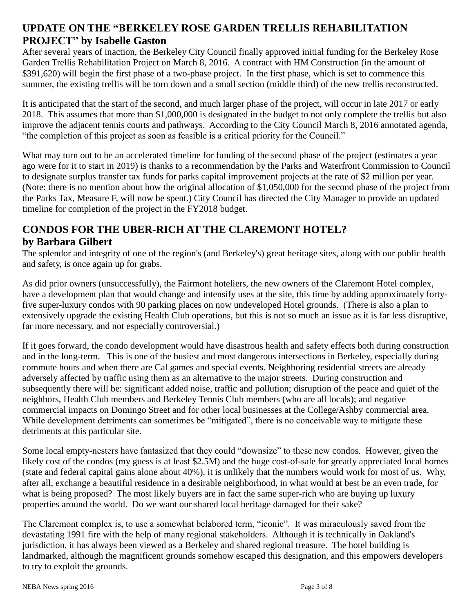#### **UPDATE ON THE "BERKELEY ROSE GARDEN TRELLIS REHABILITATION PROJECT" by Isabelle Gaston**

After several years of inaction, the Berkeley City Council finally approved initial funding for the Berkeley Rose Garden Trellis Rehabilitation Project on March 8, 2016. A contract with HM Construction (in the amount of \$391,620) will begin the first phase of a two-phase project. In the first phase, which is set to commence this summer, the existing trellis will be torn down and a small section (middle third) of the new trellis reconstructed.

It is anticipated that the start of the second, and much larger phase of the project, will occur in late 2017 or early 2018. This assumes that more than \$1,000,000 is designated in the budget to not only complete the trellis but also improve the adjacent tennis courts and pathways. According to the City Council March 8, 2016 annotated agenda, "the completion of this project as soon as feasible is a critical priority for the Council."

What may turn out to be an accelerated timeline for funding of the second phase of the project (estimates a year ago were for it to start in 2019) is thanks to a recommendation by the Parks and Waterfront Commission to Council to designate surplus transfer tax funds for parks capital improvement projects at the rate of \$2 million per year. (Note: there is no mention about how the original allocation of \$1,050,000 for the second phase of the project from the Parks Tax, Measure F, will now be spent.) City Council has directed the City Manager to provide an updated timeline for completion of the project in the FY2018 budget.

## **CONDOS FOR THE UBER-RICH AT THE CLAREMONT HOTEL?**

#### **by Barbara Gilbert**

The splendor and integrity of one of the region's (and Berkeley's) great heritage sites, along with our public health and safety, is once again up for grabs.

As did prior owners (unsuccessfully), the Fairmont hoteliers, the new owners of the Claremont Hotel complex, have a development plan that would change and intensify uses at the site, this time by adding approximately fortyfive super-luxury condos with 90 parking places on now undeveloped Hotel grounds. (There is also a plan to extensively upgrade the existing Health Club operations, but this is not so much an issue as it is far less disruptive, far more necessary, and not especially controversial.)

If it goes forward, the condo development would have disastrous health and safety effects both during construction and in the long-term. This is one of the busiest and most dangerous intersections in Berkeley, especially during commute hours and when there are Cal games and special events. Neighboring residential streets are already adversely affected by traffic using them as an alternative to the major streets. During construction and subsequently there will be: significant added noise, traffic and pollution; disruption of the peace and quiet of the neighbors, Health Club members and Berkeley Tennis Club members (who are all locals); and negative commercial impacts on Domingo Street and for other local businesses at the College/Ashby commercial area. While development detriments can sometimes be "mitigated", there is no conceivable way to mitigate these detriments at this particular site.

Some local empty-nesters have fantasized that they could "downsize" to these new condos. However, given the likely cost of the condos (my guess is at least \$2.5M) and the huge cost-of-sale for greatly appreciated local homes (state and federal capital gains alone about 40%), it is unlikely that the numbers would work for most of us. Why, after all, exchange a beautiful residence in a desirable neighborhood, in what would at best be an even trade, for what is being proposed? The most likely buyers are in fact the same super-rich who are buying up luxury properties around the world. Do we want our shared local heritage damaged for their sake?

The Claremont complex is, to use a somewhat belabored term, "iconic". It was miraculously saved from the devastating 1991 fire with the help of many regional stakeholders. Although it is technically in Oakland's jurisdiction, it has always been viewed as a Berkeley and shared regional treasure. The hotel building is landmarked, although the magnificent grounds somehow escaped this designation, and this empowers developers to try to exploit the grounds.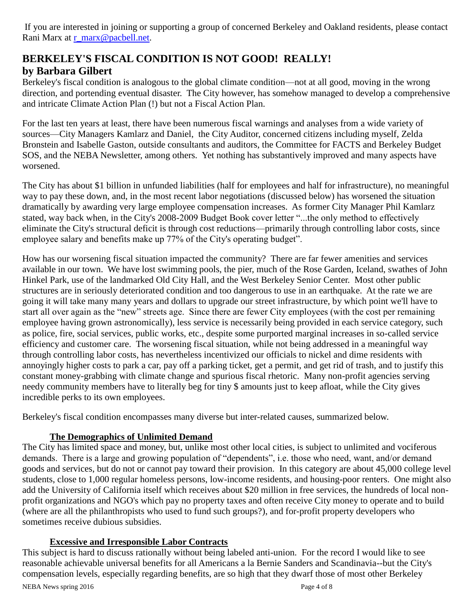If you are interested in joining or supporting a group of concerned Berkeley and Oakland residents, please contact Rani Marx at [r\\_marx@pacbell.net.](r_marx@pacbell.net)

#### **BERKELEY'S FISCAL CONDITION IS NOT GOOD! REALLY! by Barbara Gilbert**

Berkeley's fiscal condition is analogous to the global climate condition—not at all good, moving in the wrong direction, and portending eventual disaster. The City however, has somehow managed to develop a comprehensive and intricate Climate Action Plan (!) but not a Fiscal Action Plan.

For the last ten years at least, there have been numerous fiscal warnings and analyses from a wide variety of sources—City Managers Kamlarz and Daniel, the City Auditor, concerned citizens including myself, Zelda Bronstein and Isabelle Gaston, outside consultants and auditors, the Committee for FACTS and Berkeley Budget SOS, and the NEBA Newsletter, among others. Yet nothing has substantively improved and many aspects have worsened.

The City has about \$1 billion in unfunded liabilities (half for employees and half for infrastructure), no meaningful way to pay these down, and, in the most recent labor negotiations (discussed below) has worsened the situation dramatically by awarding very large employee compensation increases. As former City Manager Phil Kamlarz stated, way back when, in the City's 2008-2009 Budget Book cover letter "...the only method to effectively eliminate the City's structural deficit is through cost reductions—primarily through controlling labor costs, since employee salary and benefits make up 77% of the City's operating budget".

How has our worsening fiscal situation impacted the community? There are far fewer amenities and services available in our town. We have lost swimming pools, the pier, much of the Rose Garden, Iceland, swathes of John Hinkel Park, use of the landmarked Old City Hall, and the West Berkeley Senior Center. Most other public structures are in seriously deteriorated condition and too dangerous to use in an earthquake. At the rate we are going it will take many many years and dollars to upgrade our street infrastructure, by which point we'll have to start all over again as the "new" streets age. Since there are fewer City employees (with the cost per remaining employee having grown astronomically), less service is necessarily being provided in each service category, such as police, fire, social services, public works, etc., despite some purported marginal increases in so-called service efficiency and customer care. The worsening fiscal situation, while not being addressed in a meaningful way through controlling labor costs, has nevertheless incentivized our officials to nickel and dime residents with annoyingly higher costs to park a car, pay off a parking ticket, get a permit, and get rid of trash, and to justify this constant money-grabbing with climate change and spurious fiscal rhetoric. Many non-profit agencies serving needy community members have to literally beg for tiny \$ amounts just to keep afloat, while the City gives incredible perks to its own employees.

Berkeley's fiscal condition encompasses many diverse but inter-related causes, summarized below.

#### **The Demographics of Unlimited Demand**

The City has limited space and money, but, unlike most other local cities, is subject to unlimited and vociferous demands. There is a large and growing population of "dependents", i.e. those who need, want, and/or demand goods and services, but do not or cannot pay toward their provision. In this category are about 45,000 college level students, close to 1,000 regular homeless persons, low-income residents, and housing-poor renters. One might also add the University of California itself which receives about \$20 million in free services, the hundreds of local nonprofit organizations and NGO's which pay no property taxes and often receive City money to operate and to build (where are all the philanthropists who used to fund such groups?), and for-profit property developers who sometimes receive dubious subsidies.

#### **Excessive and Irresponsible Labor Contracts**

This subject is hard to discuss rationally without being labeled anti-union. For the record I would like to see reasonable achievable universal benefits for all Americans a la Bernie Sanders and Scandinavia--but the City's compensation levels, especially regarding benefits, are so high that they dwarf those of most other Berkeley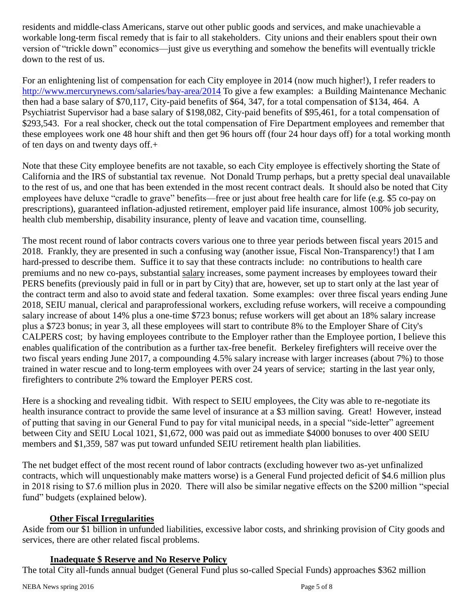residents and middle-class Americans, starve out other public goods and services, and make unachievable a workable long-term fiscal remedy that is fair to all stakeholders. City unions and their enablers spout their own version of "trickle down" economics—just give us everything and somehow the benefits will eventually trickle down to the rest of us.

For an enlightening list of compensation for each City employee in 2014 (now much higher!), I refer readers to <http://www.mercurynews.com/salaries/bay-area/2014> To give a few examples: a Building Maintenance Mechanic then had a base salary of \$70,117, City-paid benefits of \$64, 347, for a total compensation of \$134, 464. A Psychiatrist Supervisor had a base salary of \$198,082, City-paid benefits of \$95,461, for a total compensation of \$293,543. For a real shocker, check out the total compensation of Fire Department employees and remember that these employees work one 48 hour shift and then get 96 hours off (four 24 hour days off) for a total working month of ten days on and twenty days off.+

Note that these City employee benefits are not taxable, so each City employee is effectively shorting the State of California and the IRS of substantial tax revenue. Not Donald Trump perhaps, but a pretty special deal unavailable to the rest of us, and one that has been extended in the most recent contract deals. It should also be noted that City employees have deluxe "cradle to grave" benefits—free or just about free health care for life (e.g. \$5 co-pay on prescriptions), guaranteed inflation-adjusted retirement, employer paid life insurance, almost 100% job security, health club membership, disability insurance, plenty of leave and vacation time, counselling.

The most recent round of labor contracts covers various one to three year periods between fiscal years 2015 and 2018. Frankly, they are presented in such a confusing way (another issue, Fiscal Non-Transparency!) that I am hard-pressed to describe them. Suffice it to say that these contracts include: no contributions to health care premiums and no new co-pays, substantial salary increases, some payment increases by employees toward their PERS benefits (previously paid in full or in part by City) that are, however, set up to start only at the last year of the contract term and also to avoid state and federal taxation. Some examples: over three fiscal years ending June 2018, SEIU manual, clerical and paraprofessional workers, excluding refuse workers, will receive a compounding salary increase of about 14% plus a one-time \$723 bonus; refuse workers will get about an 18% salary increase plus a \$723 bonus; in year 3, all these employees will start to contribute 8% to the Employer Share of City's CALPERS cost; by having employees contribute to the Employer rather than the Employee portion, I believe this enables qualification of the contribution as a further tax-free benefit. Berkeley firefighters will receive over the two fiscal years ending June 2017, a compounding 4.5% salary increase with larger increases (about 7%) to those trained in water rescue and to long-term employees with over 24 years of service; starting in the last year only, firefighters to contribute 2% toward the Employer PERS cost.

Here is a shocking and revealing tidbit. With respect to SEIU employees, the City was able to re-negotiate its health insurance contract to provide the same level of insurance at a \$3 million saving. Great! However, instead of putting that saving in our General Fund to pay for vital municipal needs, in a special "side-letter" agreement between City and SEIU Local 1021, \$1,672, 000 was paid out as immediate \$4000 bonuses to over 400 SEIU members and \$1,359, 587 was put toward unfunded SEIU retirement health plan liabilities.

The net budget effect of the most recent round of labor contracts (excluding however two as-yet unfinalized contracts, which will unquestionably make matters worse) is a General Fund projected deficit of \$4.6 million plus in 2018 rising to \$7.6 million plus in 2020. There will also be similar negative effects on the \$200 million "special fund" budgets (explained below).

#### **Other Fiscal Irregularities**

Aside from our \$1 billion in unfunded liabilities, excessive labor costs, and shrinking provision of City goods and services, there are other related fiscal problems.

#### **Inadequate \$ Reserve and No Reserve Policy**

The total City all-funds annual budget (General Fund plus so-called Special Funds) approaches \$362 million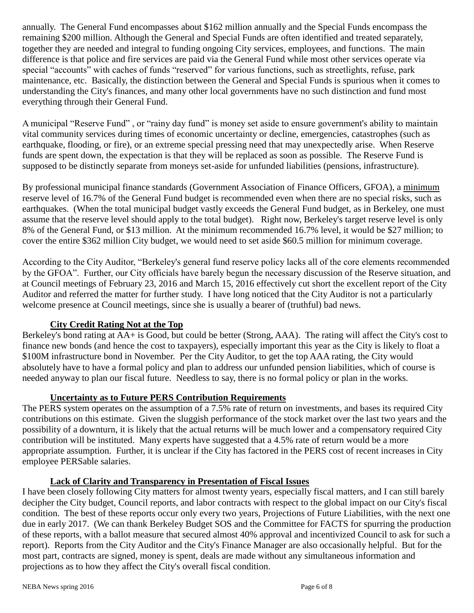annually. The General Fund encompasses about \$162 million annually and the Special Funds encompass the remaining \$200 million. Although the General and Special Funds are often identified and treated separately, together they are needed and integral to funding ongoing City services, employees, and functions. The main difference is that police and fire services are paid via the General Fund while most other services operate via special "accounts" with caches of funds "reserved" for various functions, such as streetlights, refuse, park maintenance, etc. Basically, the distinction between the General and Special Funds is spurious when it comes to understanding the City's finances, and many other local governments have no such distinction and fund most everything through their General Fund.

A municipal "Reserve Fund" , or "rainy day fund" is money set aside to ensure government's ability to maintain vital community services during times of economic uncertainty or decline, emergencies, catastrophes (such as earthquake, flooding, or fire), or an extreme special pressing need that may unexpectedly arise. When Reserve funds are spent down, the expectation is that they will be replaced as soon as possible. The Reserve Fund is supposed to be distinctly separate from moneys set-aside for unfunded liabilities (pensions, infrastructure).

By professional municipal finance standards (Government Association of Finance Officers, GFOA), a minimum reserve level of 16.7% of the General Fund budget is recommended even when there are no special risks, such as earthquakes. (When the total municipal budget vastly exceeds the General Fund budget, as in Berkeley, one must assume that the reserve level should apply to the total budget). Right now, Berkeley's target reserve level is only 8% of the General Fund, or \$13 million. At the minimum recommended 16.7% level, it would be \$27 million; to cover the entire \$362 million City budget, we would need to set aside \$60.5 million for minimum coverage.

According to the City Auditor, "Berkeley's general fund reserve policy lacks all of the core elements recommended by the GFOA". Further, our City officials have barely begun the necessary discussion of the Reserve situation, and at Council meetings of February 23, 2016 and March 15, 2016 effectively cut short the excellent report of the City Auditor and referred the matter for further study. I have long noticed that the City Auditor is not a particularly welcome presence at Council meetings, since she is usually a bearer of (truthful) bad news.

#### **City Credit Rating Not at the Top**

Berkeley's bond rating at AA+ is Good, but could be better (Strong, AAA). The rating will affect the City's cost to finance new bonds (and hence the cost to taxpayers), especially important this year as the City is likely to float a \$100M infrastructure bond in November. Per the City Auditor, to get the top AAA rating, the City would absolutely have to have a formal policy and plan to address our unfunded pension liabilities, which of course is needed anyway to plan our fiscal future. Needless to say, there is no formal policy or plan in the works.

#### **Uncertainty as to Future PERS Contribution Requirements**

The PERS system operates on the assumption of a 7.5% rate of return on investments, and bases its required City contributions on this estimate. Given the sluggish performance of the stock market over the last two years and the possibility of a downturn, it is likely that the actual returns will be much lower and a compensatory required City contribution will be instituted. Many experts have suggested that a 4.5% rate of return would be a more appropriate assumption. Further, it is unclear if the City has factored in the PERS cost of recent increases in City employee PERSable salaries.

#### **Lack of Clarity and Transparency in Presentation of Fiscal Issues**

I have been closely following City matters for almost twenty years, especially fiscal matters, and I can still barely decipher the City budget, Council reports, and labor contracts with respect to the global impact on our City's fiscal condition. The best of these reports occur only every two years, Projections of Future Liabilities, with the next one due in early 2017. (We can thank Berkeley Budget SOS and the Committee for FACTS for spurring the production of these reports, with a ballot measure that secured almost 40% approval and incentivized Council to ask for such a report). Reports from the City Auditor and the City's Finance Manager are also occasionally helpful. But for the most part, contracts are signed, money is spent, deals are made without any simultaneous information and projections as to how they affect the City's overall fiscal condition.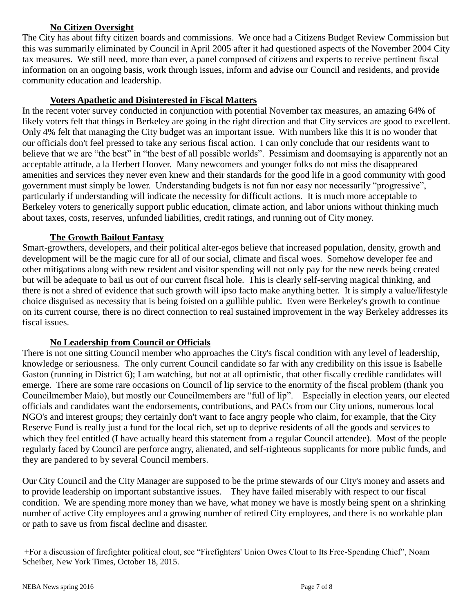#### **No Citizen Oversight**

The City has about fifty citizen boards and commissions. We once had a Citizens Budget Review Commission but this was summarily eliminated by Council in April 2005 after it had questioned aspects of the November 2004 City tax measures. We still need, more than ever, a panel composed of citizens and experts to receive pertinent fiscal information on an ongoing basis, work through issues, inform and advise our Council and residents, and provide community education and leadership.

#### **Voters Apathetic and Disinterested in Fiscal Matters**

In the recent voter survey conducted in conjunction with potential November tax measures, an amazing 64% of likely voters felt that things in Berkeley are going in the right direction and that City services are good to excellent. Only 4% felt that managing the City budget was an important issue. With numbers like this it is no wonder that our officials don't feel pressed to take any serious fiscal action. I can only conclude that our residents want to believe that we are "the best" in "the best of all possible worlds". Pessimism and doomsaying is apparently not an acceptable attitude, a la Herbert Hoover. Many newcomers and younger folks do not miss the disappeared amenities and services they never even knew and their standards for the good life in a good community with good government must simply be lower. Understanding budgets is not fun nor easy nor necessarily "progressive", particularly if understanding will indicate the necessity for difficult actions. It is much more acceptable to Berkeley voters to generically support public education, climate action, and labor unions without thinking much about taxes, costs, reserves, unfunded liabilities, credit ratings, and running out of City money.

#### **The Growth Bailout Fantasy**

Smart-growthers, developers, and their political alter-egos believe that increased population, density, growth and development will be the magic cure for all of our social, climate and fiscal woes. Somehow developer fee and other mitigations along with new resident and visitor spending will not only pay for the new needs being created but will be adequate to bail us out of our current fiscal hole. This is clearly self-serving magical thinking, and there is not a shred of evidence that such growth will ipso facto make anything better. It is simply a value/lifestyle choice disguised as necessity that is being foisted on a gullible public. Even were Berkeley's growth to continue on its current course, there is no direct connection to real sustained improvement in the way Berkeley addresses its fiscal issues.

#### **No Leadership from Council or Officials**

There is not one sitting Council member who approaches the City's fiscal condition with any level of leadership, knowledge or seriousness. The only current Council candidate so far with any credibility on this issue is Isabelle Gaston (running in District 6); I am watching, but not at all optimistic, that other fiscally credible candidates will emerge. There are some rare occasions on Council of lip service to the enormity of the fiscal problem (thank you Councilmember Maio), but mostly our Councilmembers are "full of lip". Especially in election years, our elected officials and candidates want the endorsements, contributions, and PACs from our City unions, numerous local NGO's and interest groups; they certainly don't want to face angry people who claim, for example, that the City Reserve Fund is really just a fund for the local rich, set up to deprive residents of all the goods and services to which they feel entitled (I have actually heard this statement from a regular Council attendee). Most of the people regularly faced by Council are perforce angry, alienated, and self-righteous supplicants for more public funds, and they are pandered to by several Council members.

Our City Council and the City Manager are supposed to be the prime stewards of our City's money and assets and to provide leadership on important substantive issues. They have failed miserably with respect to our fiscal condition. We are spending more money than we have, what money we have is mostly being spent on a shrinking number of active City employees and a growing number of retired City employees, and there is no workable plan or path to save us from fiscal decline and disaster.

+For a discussion of firefighter political clout, see "Firefighters' Union Owes Clout to Its Free-Spending Chief", Noam Scheiber, New York Times, October 18, 2015.